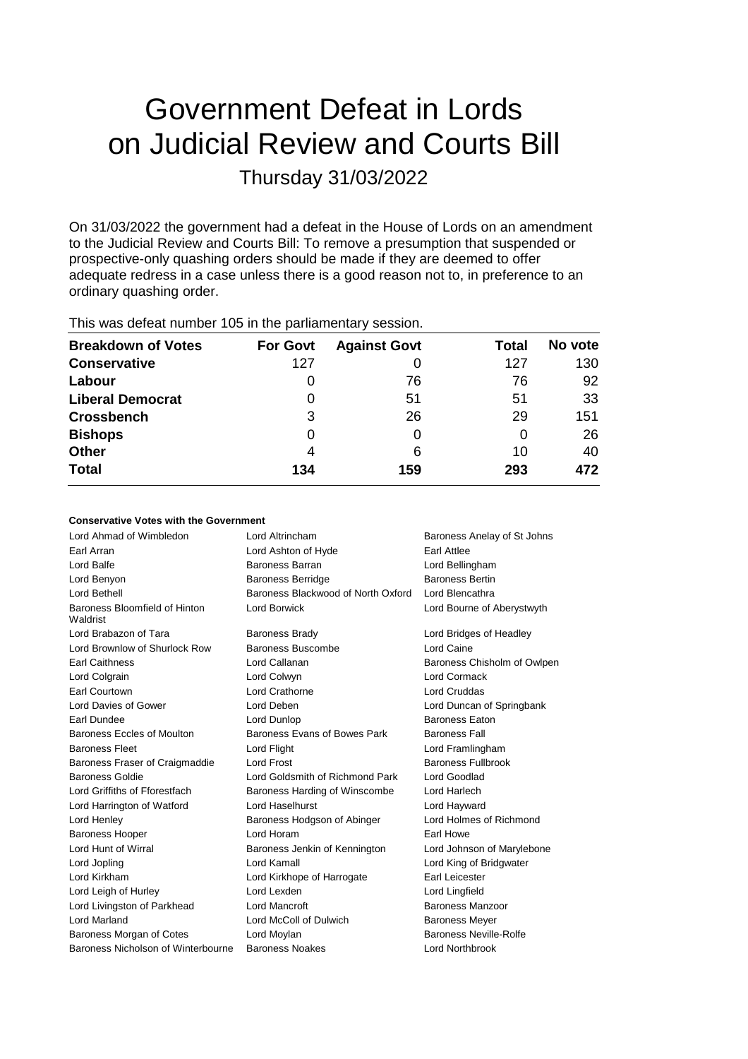# Government Defeat in Lords on Judicial Review and Courts Bill Thursday 31/03/2022

On 31/03/2022 the government had a defeat in the House of Lords on an amendment to the Judicial Review and Courts Bill: To remove a presumption that suspended or prospective-only quashing orders should be made if they are deemed to offer adequate redress in a case unless there is a good reason not to, in preference to an ordinary quashing order.

| <b>Breakdown of Votes</b> | <b>For Govt</b> | <b>Against Govt</b> | Total | No vote |  |
|---------------------------|-----------------|---------------------|-------|---------|--|
| <b>Conservative</b>       | 127             |                     | 127   | 130     |  |
| Labour                    | O               | 76                  | 76    | 92      |  |
| <b>Liberal Democrat</b>   | 0               | 51                  | 51    | 33      |  |
| <b>Crossbench</b>         | 3               | 26                  | 29    | 151     |  |
| <b>Bishops</b>            | 0               | 0                   | 0     | 26      |  |
| Other                     | 4               | 6                   | 10    | 40      |  |
| <b>Total</b>              | 134             | 159                 | 293   | 472     |  |

This was defeat number 105 in the parliamentary session.

### **Conservative Votes with the Government**

| Lord Ahmad of Wimbledon                   | Lord Altrincham                    | Baroness Anelay of St Johns   |
|-------------------------------------------|------------------------------------|-------------------------------|
| Earl Arran                                | Lord Ashton of Hyde                | Earl Attlee                   |
| Lord Balfe                                | Baroness Barran                    | Lord Bellingham               |
| Lord Benyon                               | <b>Baroness Berridge</b>           | <b>Baroness Bertin</b>        |
| Lord Bethell                              | Baroness Blackwood of North Oxford | Lord Blencathra               |
| Baroness Bloomfield of Hinton<br>Waldrist | <b>Lord Borwick</b>                | Lord Bourne of Aberystwyth    |
| Lord Brabazon of Tara                     | <b>Baroness Brady</b>              | Lord Bridges of Headley       |
| Lord Brownlow of Shurlock Row             | Baroness Buscombe                  | Lord Caine                    |
| <b>Earl Caithness</b>                     | Lord Callanan                      | Baroness Chisholm of Owlpen   |
| Lord Colgrain                             | Lord Colwyn                        | <b>Lord Cormack</b>           |
| Earl Courtown                             | Lord Crathorne                     | <b>Lord Cruddas</b>           |
| Lord Davies of Gower                      | Lord Deben                         | Lord Duncan of Springbank     |
| Earl Dundee                               | Lord Dunlop                        | <b>Baroness Eaton</b>         |
| Baroness Eccles of Moulton                | Baroness Evans of Bowes Park       | <b>Baroness Fall</b>          |
| <b>Baroness Fleet</b>                     | Lord Flight                        | Lord Framlingham              |
| Baroness Fraser of Craigmaddie            | <b>Lord Frost</b>                  | <b>Baroness Fullbrook</b>     |
| <b>Baroness Goldie</b>                    | Lord Goldsmith of Richmond Park    | Lord Goodlad                  |
| Lord Griffiths of Fforestfach             | Baroness Harding of Winscombe      | Lord Harlech                  |
| Lord Harrington of Watford                | Lord Haselhurst                    | Lord Hayward                  |
| Lord Henley                               | Baroness Hodgson of Abinger        | Lord Holmes of Richmond       |
| <b>Baroness Hooper</b>                    | Lord Horam                         | Earl Howe                     |
| Lord Hunt of Wirral                       | Baroness Jenkin of Kennington      | Lord Johnson of Marylebone    |
| Lord Jopling                              | Lord Kamall                        | Lord King of Bridgwater       |
| Lord Kirkham                              | Lord Kirkhope of Harrogate         | Earl Leicester                |
| Lord Leigh of Hurley                      | Lord Lexden                        | Lord Lingfield                |
| Lord Livingston of Parkhead               | Lord Mancroft                      | Baroness Manzoor              |
| <b>Lord Marland</b>                       | Lord McColl of Dulwich             | <b>Baroness Meyer</b>         |
| Baroness Morgan of Cotes                  | Lord Moylan                        | <b>Baroness Neville-Rolfe</b> |
| Baroness Nicholson of Winterbourne        | <b>Baroness Noakes</b>             | Lord Northbrook               |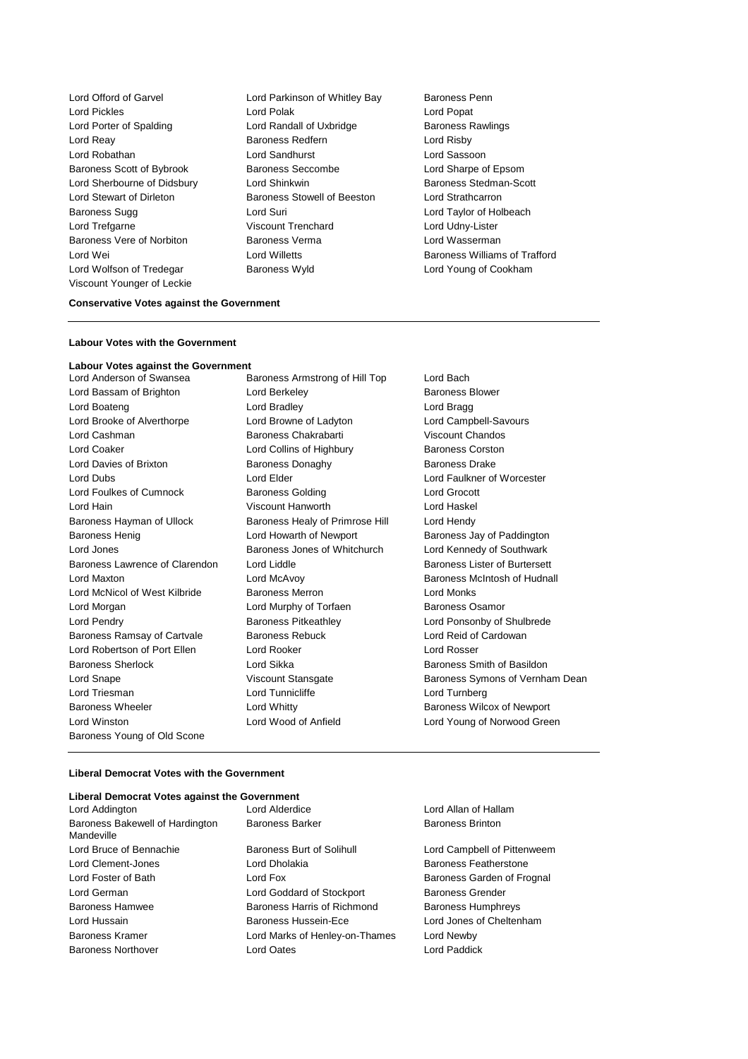Lord Offord of Garvel **Lord Parkinson of Whitley Bay** Baroness Penn Lord Pickles Lord Polak Lord Popat Lord Porter of Spalding **Lord Randall of Uxbridge** Baroness Rawlings Lord Reay **Baroness Redfern Baroness Redfern Lord Risby** Lord Robathan Lord Sandhurst Lord Sassoon Baroness Scott of Bybrook Baroness Seccombe Lord Sharpe of Epsom Lord Sherbourne of Didsbury Lord Shinkwin **Baroness Stedman-Scott** Lord Stewart of Dirleton Baroness Stowell of Beeston Lord Strathcarron Baroness Sugg 
and Lord Suri Cord Suri Lord Curi Lord Taylor of Holbeach Lord Trefgarne Viscount Trenchard Lord Udny-Lister Baroness Vere of Norbiton **Baroness Verma** Baroness Verman Lord Wasserman Lord Wolfson of Tredegar Baroness Wyld Lord Young of Cookham Viscount Younger of Leckie

Lord Wei Lord Willetts Baroness Williams of Trafford

#### **Conservative Votes against the Government**

#### **Labour Votes with the Government**

## **Labour Votes against the Government**

Lord Bassam of Brighton Lord Berkeley **Baroness Blower** Baroness Blower Lord Boateng **Lord Bradley** Lord Bradley **Lord Bragg** Lord Brooke of Alverthorpe Lord Browne of Ladyton Lord Campbell-Savours Lord Cashman Baroness Chakrabarti Viscount Chandos Lord Coaker **Lord Collins of Highbury** Baroness Corston Lord Davies of Brixton **Baroness Donaghy** Baroness Davies Drake Lord Dubs Lord Elder Lord Faulkner of Worcester Lord Foulkes of Cumnock Baroness Golding Lord Grocott Lord Hain Viscount Hanworth Lord Haskel Baroness Hayman of Ullock Baroness Healy of Primrose Hill Lord Hendy Baroness Henig **Example 2** Lord Howarth of Newport **Baroness Jay of Paddington** Lord Jones Baroness Jones of Whitchurch Lord Kennedy of Southwark Baroness Lawrence of Clarendon Lord Liddle **Baroness Lister of Burtersett** Lord Maxton Lord McAvoy Baroness McIntosh of Hudnall Lord McNicol of West Kilbride Baroness Merron **Baroness Merron** Lord Monks Lord Morgan Lord Murphy of Torfaen Baroness Osamor Lord Pendry Baroness Pitkeathley Lord Ponsonby of Shulbrede Baroness Ramsay of Cartvale Baroness Rebuck Lord Reid of Cardowan Lord Robertson of Port Ellen Lord Rooker Lord Rosser Baroness Sherlock Lord Sikka Baroness Smith of Basildon Lord Triesman Lord Tunnicliffe Lord Turnberg Baroness Wheeler **Baroness Wheeler** Lord Whitty **Baroness Wilcox of Newport** Lord Winston Lord Wood of Anfield Lord Young of Norwood Green Baroness Young of Old Scone

Baroness Armstrong of Hill Top Lord Bach

Lord Snape Viscount Stansgate Baroness Symons of Vernham Dean

#### **Liberal Democrat Votes with the Government**

#### **Liberal Democrat Votes against the Government**

Baroness Bakewell of Hardington Mandeville

Lord Bruce of Bennachie **Baroness Burt of Solihull** Lord Campbell of Pittenweem Lord Clement-Jones Lord Dholakia **Baroness Featherstone** Lord Foster of Bath Lord Fox Lord Fox Baroness Garden of Frognal Lord German Lord Goddard of Stockport Baroness Grender Baroness Hamwee **Baroness Harris of Richmond** Baroness Humphreys Lord Hussain Baroness Hussein-Ece Lord Jones of Cheltenham Baroness Kramer Lord Marks of Henley-on-Thames Lord Newby Baroness Northover Lord Oates Lord Paddick

Lord Addington Lord Alderdice Lord Allan of Hallam Baroness Barker Baroness Brinton